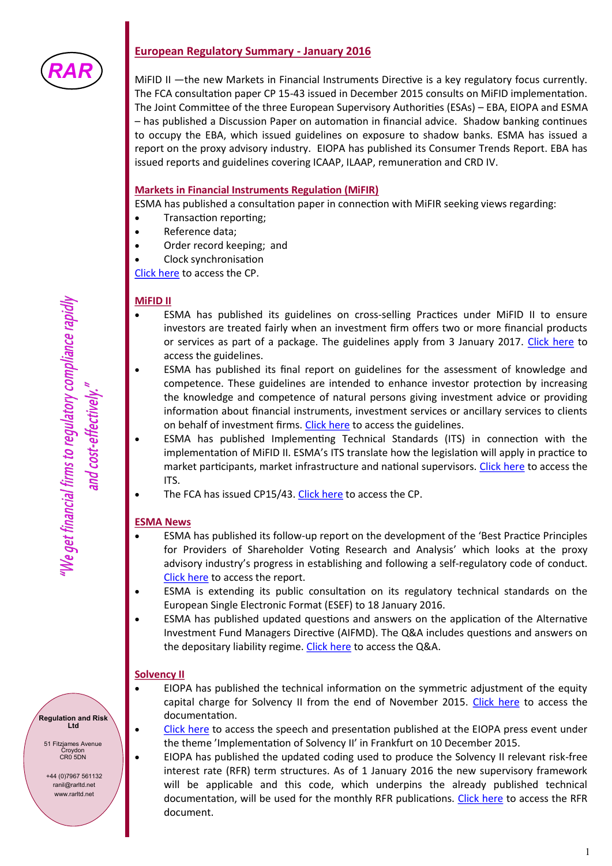

# **European Regulatory Summary - January 2016**

MiFID II —the new Markets in Financial Instruments Directive is a key regulatory focus currently. The FCA consultation paper CP 15-43 issued in December 2015 consults on MiFID implementation. The Joint Committee of the three European Supervisory Authorities (ESAs) - EBA, EIOPA and ESMA – has published a Discussion Paper on automation in financial advice. Shadow banking continues to occupy the EBA, which issued guidelines on exposure to shadow banks. ESMA has issued a report on the proxy advisory industry. EIOPA has published its Consumer Trends Report. EBA has issued reports and guidelines covering ICAAP, ILAAP, remuneration and CRD IV.

## **Markets in Financial Instruments Regulation (MiFIR)**

ESMA has published a consultation paper in connection with MiFIR seeking views regarding:

- Transaction reporting;
- Reference data;
- Order record keeping; and
- Clock synchronisation

[Click here](https://www.esma.europa.eu/document/guidelines-transaction-reporting-reference-data-order-record-keeping-and-clock) to access the CP.

#### **MiFID II**

- ESMA has published its guidelines on cross-selling Practices under MiFID II to ensure investors are treated fairly when an investment firm offers two or more financial products or services as part of a package. The guidelines apply from 3 January 2017. [Click here](https://www.esma.europa.eu/press-news/esma-news/esma-publishes-mifid-ii-guidelines-cross-selling-practices) to access the guidelines.
- ESMA has published its final report on guidelines for the assessment of knowledge and competence. These guidelines are intended to enhance investor protection by increasing the knowledge and competence of natural persons giving investment advice or providing information about financial instruments, investment services or ancillary services to clients on behalf of investment firms. [Click here](https://www.esma.europa.eu/press-news/esma-news/esma-publishes-final-report-mifid-ii-guidelines-assessment-and-knowledge) to access the guidelines.
- ESMA has published Implementing Technical Standards (ITS) in connection with the implementation of MiFID II. ESMA's ITS translate how the legislation will apply in practice to market participants, market infrastructure and national supervisors. [Click here](https://www.esma.europa.eu/sites/default/files/library/2015-1858_-_final_report_-_draft_implementing_technical_standards_under_mifid_ii.pdf) to access the ITS.
- The FCA has issued CP15/43. [Click here](http://www.fca.org.uk/news/cp15-43-mifid-ii-implementation-cp-i) to access the CP.

## **ESMA News**

- ESMA has published its follow-up report on the development of the 'Best Practice Principles for Providers of Shareholder Voting Research and Analysis' which looks at the proxy advisory industry's progress in establishing and following a self-regulatory code of conduct. [Click here](https://www.esma.europa.eu/press-news/esma-news/esma-publishes-report-proxy-advisors%E2%80%99-best-practice-principles) to access the report.
- ESMA is extending its public consultation on its regulatory technical standards on the European Single Electronic Format (ESEF) to 18 January 2016.
- ESMA has published updated questions and answers on the application of the Alternative Investment Fund Managers Directive (AIFMD). The Q&A includes questions and answers on the depositary liability regime. [Click here](https://www.esma.europa.eu/press-news/esma-news/esma-publishes-updated-aifmd-qa) to access the Q&A.

#### **Solvency II**

- EIOPA has published the technical information on the symmetric adjustment of the equity capital charge for Solvency II from the end of November 2015. [Click here](https://eiopa.europa.eu/regulation-supervision/insurance/solvency-ii-technical-information/symmetric-adjustment-of-the-equity-capital-charge) to access the documentation.
	- [Click here](https://eiopa.europa.eu/press-room/speeches-presentations) to access the speech and presentation published at the EIOPA press event under the theme 'Implementation of Solvency II' in Frankfurt on 10 December 2015.
- EIOPA has published the updated coding used to produce the Solvency II relevant risk-free interest rate (RFR) term structures. As of 1 January 2016 the new supervisory framework will be applicable and this code, which underpins the already published technical documentation, will be used for the monthly RFR publications. [Click here](https://eiopa.europa.eu/Publications/Standards/FAQ%20on%20RFR%20publication_8122015.pdf) to access the RFR document.

**Regulation and Risk Ltd**

51 Fitzjames Avenue Croydon CR0 5DN

+44 (0)7967 561132 ranil@rarltd.net www.rarltd.net